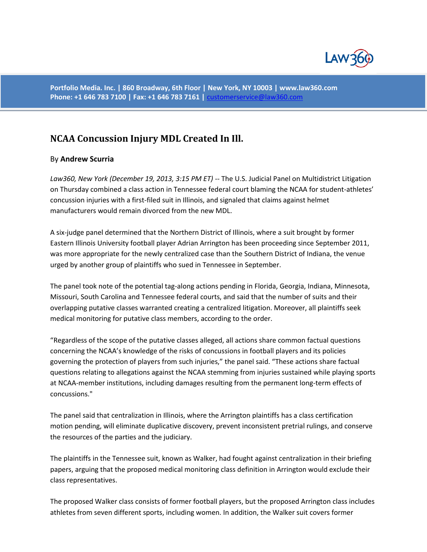

**Portfolio Media. Inc. | 860 Broadway, 6th Floor | New York, NY 10003 | www.law360.com Phone: +1 646 783 7100 | Fax: +1 646 783 7161 |** [customerservice@law360.com](mailto:customerservice@law360.com)

## **[NCAA Concussion Injury MDL Created In Ill.](http://www.law360.com/articles/497324/ncaa-concussion-injury-mdl-created-in-ill-)**

## By **Andrew Scurria**

*Law360, New York (December 19, 2013, 3:15 PM ET)* -- The U.S. Judicial Panel on Multidistrict Litigation on Thursday combined a class action in Tennessee federal court blaming the NCAA for student-athletes' concussion injuries with a first-filed suit in Illinois, and signaled that claims against helmet manufacturers would remain divorced from the new MDL.

A six-judge panel determined that the Northern District of Illinois, where a suit brought by former Eastern Illinois University football player Adrian Arrington has been proceeding since September 2011, was more appropriate for the newly centralized case than the Southern District of Indiana, the venue urged by another group of plaintiffs who sued in Tennessee in September.

The panel took note of the potential tag-along actions pending in Florida, Georgia, Indiana, Minnesota, Missouri, South Carolina and Tennessee federal courts, and said that the number of suits and their overlapping putative classes warranted creating a centralized litigation. Moreover, all plaintiffs seek medical monitoring for putative class members, according to the order.

"Regardless of the scope of the putative classes alleged, all actions share common factual questions concerning the NCAA's knowledge of the risks of concussions in football players and its policies governing the protection of players from such injuries," the panel said. "These actions share factual questions relating to allegations against the NCAA stemming from injuries sustained while playing sports at NCAA-member institutions, including damages resulting from the permanent long-term effects of concussions."

The panel said that centralization in Illinois, where the Arrington plaintiffs has a class certification motion pending, will eliminate duplicative discovery, prevent inconsistent pretrial rulings, and conserve the resources of the parties and the judiciary.

The plaintiffs in the Tennessee suit, known as Walker, had fought against centralization in their briefing papers, arguing that the proposed medical monitoring class definition in Arrington would exclude their class representatives.

The proposed Walker class consists of former football players, but the proposed Arrington class includes athletes from seven different sports, including women. In addition, the Walker suit covers former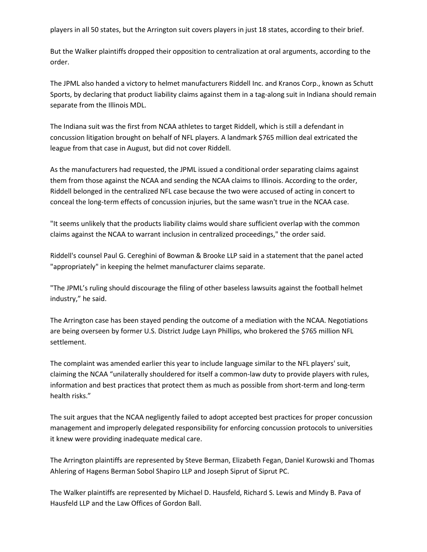players in all 50 states, but the Arrington suit covers players in just 18 states, according to their brief.

But the Walker plaintiffs dropped their opposition to centralization at oral arguments, according to the order.

The JPML also handed a victory to helmet manufacturers Riddell Inc. and Kranos Corp., known as Schutt Sports, by declaring that product liability claims against them in a tag-along suit in Indiana should remain separate from the Illinois MDL.

The Indiana suit was the first from NCAA athletes to target Riddell, which is still a defendant in concussion litigation brought on behalf of NFL players. A landmark \$765 million deal extricated the league from that case in August, but did not cover Riddell.

As the manufacturers had requested, the JPML issued a conditional order separating claims against them from those against the NCAA and sending the NCAA claims to Illinois. According to the order, Riddell belonged in the centralized NFL case because the two were accused of acting in concert to conceal the long-term effects of concussion injuries, but the same wasn't true in the NCAA case.

"It seems unlikely that the products liability claims would share sufficient overlap with the common claims against the NCAA to warrant inclusion in centralized proceedings," the order said.

Riddell's counsel Paul G. Cereghini of Bowman & Brooke LLP said in a statement that the panel acted "appropriately" in keeping the helmet manufacturer claims separate.

"The JPML's ruling should discourage the filing of other baseless lawsuits against the football helmet industry," he said.

The Arrington case has been stayed pending the outcome of a mediation with the NCAA. Negotiations are being overseen by former U.S. District Judge Layn Phillips, who brokered the \$765 million NFL settlement.

The complaint was amended earlier this year to include language similar to the NFL players' suit, claiming the NCAA "unilaterally shouldered for itself a common-law duty to provide players with rules, information and best practices that protect them as much as possible from short-term and long-term health risks."

The suit argues that the NCAA negligently failed to adopt accepted best practices for proper concussion management and improperly delegated responsibility for enforcing concussion protocols to universities it knew were providing inadequate medical care.

The Arrington plaintiffs are represented by Steve Berman, Elizabeth Fegan, Daniel Kurowski and Thomas Ahlering of Hagens Berman Sobol Shapiro LLP and Joseph Siprut of Siprut PC.

The Walker plaintiffs are represented by Michael D. Hausfeld, Richard S. Lewis and Mindy B. Pava of Hausfeld LLP and the Law Offices of Gordon Ball.